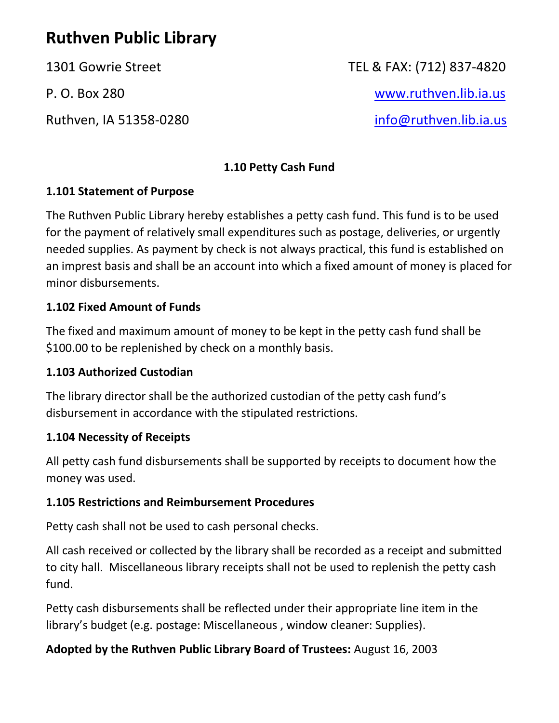# **Ruthven Public Library**

1301 Gowrie Street TEL & FAX: (712) 837-4820 P. O. Box 280 [www.ruthven.lib.ia.us](http://www.ruthven.lib.ia.us/) Ruthven, IA 51358-0280 [info@ruthven.lib.ia.us](mailto:info@ruthven.lib.ia.us)

## **1.10 Petty Cash Fund**

## **1.101 Statement of Purpose**

The Ruthven Public Library hereby establishes a petty cash fund. This fund is to be used for the payment of relatively small expenditures such as postage, deliveries, or urgently needed supplies. As payment by check is not always practical, this fund is established on an imprest basis and shall be an account into which a fixed amount of money is placed for minor disbursements.

#### **1.102 Fixed Amount of Funds**

The fixed and maximum amount of money to be kept in the petty cash fund shall be \$100.00 to be replenished by check on a monthly basis.

#### **1.103 Authorized Custodian**

The library director shall be the authorized custodian of the petty cash fund's disbursement in accordance with the stipulated restrictions.

#### **1.104 Necessity of Receipts**

All petty cash fund disbursements shall be supported by receipts to document how the money was used.

## **1.105 Restrictions and Reimbursement Procedures**

Petty cash shall not be used to cash personal checks.

All cash received or collected by the library shall be recorded as a receipt and submitted to city hall. Miscellaneous library receipts shall not be used to replenish the petty cash fund.

Petty cash disbursements shall be reflected under their appropriate line item in the library's budget (e.g. postage: Miscellaneous , window cleaner: Supplies).

## **Adopted by the Ruthven Public Library Board of Trustees:** August 16, 2003